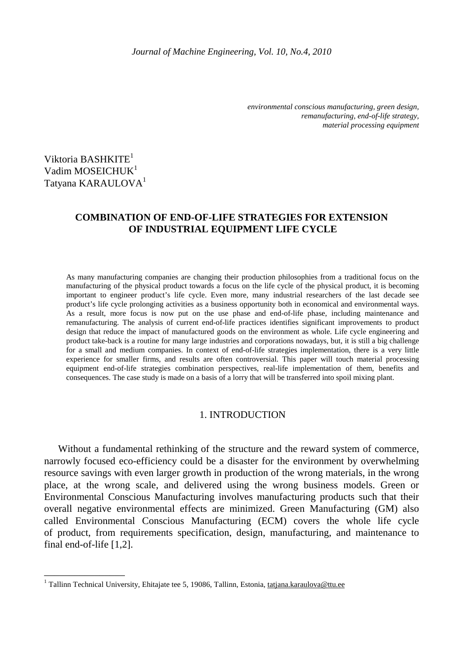*environmental conscious manufacturing, green design, remanufacturing, end-of-life strategy, material processing equipment* 

# Viktoria BASHKITE<sup>1</sup> Vadim MOSEICHUK<sup>1</sup> Tatyana KARAULOVA<sup>1</sup>

\_\_\_\_\_\_\_\_\_\_\_\_\_\_\_\_

## **COMBINATION OF END-OF-LIFE STRATEGIES FOR EXTENSION OF INDUSTRIAL EQUIPMENT LIFE CYCLE**

As many manufacturing companies are changing their production philosophies from a traditional focus on the manufacturing of the physical product towards a focus on the life cycle of the physical product, it is becoming important to engineer product's life cycle. Even more, many industrial researchers of the last decade see product's life cycle prolonging activities as a business opportunity both in economical and environmental ways. As a result, more focus is now put on the use phase and end-of-life phase, including maintenance and remanufacturing. The analysis of current end-of-life practices identifies significant improvements to product design that reduce the impact of manufactured goods on the environment as whole. Life cycle engineering and product take-back is a routine for many large industries and corporations nowadays, but, it is still a big challenge for a small and medium companies. In context of end-of-life strategies implementation, there is a very little experience for smaller firms, and results are often controversial. This paper will touch material processing equipment end-of-life strategies combination perspectives, real-life implementation of them, benefits and consequences. The case study is made on a basis of a lorry that will be transferred into spoil mixing plant.

## 1. INTRODUCTION

Without a fundamental rethinking of the structure and the reward system of commerce, narrowly focused eco-efficiency could be a disaster for the environment by overwhelming resource savings with even larger growth in production of the wrong materials, in the wrong place, at the wrong scale, and delivered using the wrong business models. Green or Environmental Conscious Manufacturing involves manufacturing products such that their overall negative environmental effects are minimized. Green Manufacturing (GM) also called Environmental Conscious Manufacturing (ECM) covers the whole life cycle of product, from requirements specification, design, manufacturing, and maintenance to final end-of-life [1,2].

<sup>&</sup>lt;sup>1</sup> Tallinn Technical University, Ehitajate tee 5, 19086, Tallinn, Estonia, tatjana.karaulova@ttu.ee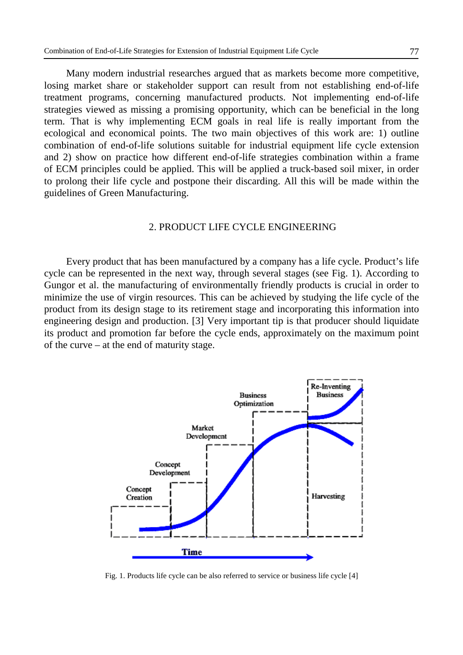Many modern industrial researches argued that as markets become more competitive, losing market share or stakeholder support can result from not establishing end-of-life treatment programs, concerning manufactured products. Not implementing end-of-life strategies viewed as missing a promising opportunity, which can be beneficial in the long term. That is why implementing ECM goals in real life is really important from the ecological and economical points. The two main objectives of this work are: 1) outline combination of end-of-life solutions suitable for industrial equipment life cycle extension and 2) show on practice how different end-of-life strategies combination within a frame of ECM principles could be applied. This will be applied a truck-based soil mixer, in order to prolong their life cycle and postpone their discarding. All this will be made within the guidelines of Green Manufacturing.

## 2. PRODUCT LIFE CYCLE ENGINEERING

 Every product that has been manufactured by a company has a life cycle. Product's life cycle can be represented in the next way, through several stages (see Fig. 1). According to Gungor et al. the manufacturing of environmentally friendly products is crucial in order to minimize the use of virgin resources. This can be achieved by studying the life cycle of the product from its design stage to its retirement stage and incorporating this information into engineering design and production. [3] Very important tip is that producer should liquidate its product and promotion far before the cycle ends, approximately on the maximum point of the curve – at the end of maturity stage.



Fig. 1. Products life cycle can be also referred to service or business life cycle [4]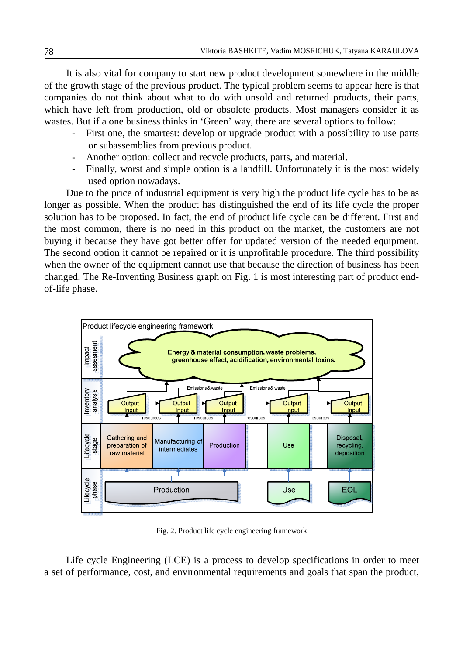It is also vital for company to start new product development somewhere in the middle of the growth stage of the previous product. The typical problem seems to appear here is that companies do not think about what to do with unsold and returned products, their parts, which have left from production, old or obsolete products. Most managers consider it as wastes. But if a one business thinks in 'Green' way, there are several options to follow:

- First one, the smartest: develop or upgrade product with a possibility to use parts or subassemblies from previous product.
- Another option: collect and recycle products, parts, and material.
- Finally, worst and simple option is a landfill. Unfortunately it is the most widely used option nowadays.

Due to the price of industrial equipment is very high the product life cycle has to be as longer as possible. When the product has distinguished the end of its life cycle the proper solution has to be proposed. In fact, the end of product life cycle can be different. First and the most common, there is no need in this product on the market, the customers are not buying it because they have got better offer for updated version of the needed equipment. The second option it cannot be repaired or it is unprofitable procedure. The third possibility when the owner of the equipment cannot use that because the direction of business has been changed. The Re-Inventing Business graph on Fig. 1 is most interesting part of product endof-life phase.



Fig. 2. Product life cycle engineering framework

Life cycle Engineering (LCE) is a process to develop specifications in order to meet a set of performance, cost, and environmental requirements and goals that span the product,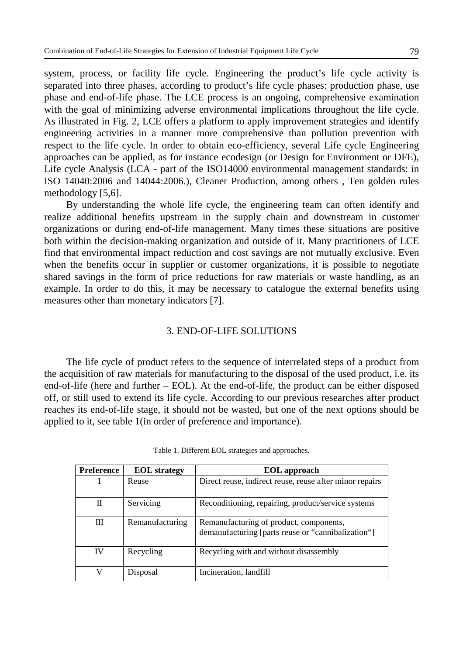system, process, or facility life cycle. Engineering the product's life cycle activity is separated into three phases, according to product's life cycle phases: production phase, use phase and end-of-life phase. The LCE process is an ongoing, comprehensive examination with the goal of minimizing adverse environmental implications throughout the life cycle. As illustrated in Fig. 2, LCE offers a platform to apply improvement strategies and identify engineering activities in a manner more comprehensive than pollution prevention with respect to the life cycle. In order to obtain eco-efficiency, several Life cycle Engineering approaches can be applied, as for instance ecodesign (or Design for Environment or DFE), Life cycle Analysis (LCA - part of the ISO14000 environmental management standards: in ISO 14040:2006 and 14044:2006.), Cleaner Production, among others , Ten golden rules methodology [5,6].

By understanding the whole life cycle, the engineering team can often identify and realize additional benefits upstream in the supply chain and downstream in customer organizations or during end-of-life management. Many times these situations are positive both within the decision-making organization and outside of it. Many practitioners of LCE find that environmental impact reduction and cost savings are not mutually exclusive. Even when the benefits occur in supplier or customer organizations, it is possible to negotiate shared savings in the form of price reductions for raw materials or waste handling, as an example. In order to do this, it may be necessary to catalogue the external benefits using measures other than monetary indicators [7].

## 3. END-OF-LIFE SOLUTIONS

The life cycle of product refers to the sequence of interrelated steps of a product from the acquisition of raw materials for manufacturing to the disposal of the used product, i.e. its end-of-life (here and further – EOL). At the end-of-life, the product can be either disposed off, or still used to extend its life cycle. According to our previous researches after product reaches its end-of-life stage, it should not be wasted, but one of the next options should be applied to it, see table 1(in order of preference and importance).

| <b>Preference</b> | <b>EOL</b> strategy | <b>EOL</b> approach                                                                           |
|-------------------|---------------------|-----------------------------------------------------------------------------------------------|
|                   | Reuse               | Direct reuse, indirect reuse, reuse after minor repairs                                       |
| П                 | Servicing           | Reconditioning, repairing, product/service systems                                            |
| Ш                 | Remanufacturing     | Remanufacturing of product, components,<br>demanufacturing [parts reuse or "cannibalization"] |
| IV                | Recycling           | Recycling with and without disassembly                                                        |
| V                 | Disposal            | Incineration, landfill                                                                        |

Table 1. Different EOL strategies and approaches.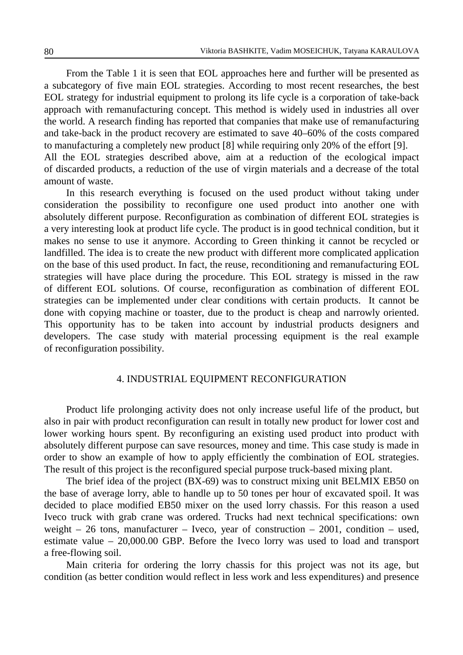From the Table 1 it is seen that EOL approaches here and further will be presented as a subcategory of five main EOL strategies. According to most recent researches, the best EOL strategy for industrial equipment to prolong its life cycle is a corporation of take-back approach with remanufacturing concept. This method is widely used in industries all over the world. A research finding has reported that companies that make use of remanufacturing and take-back in the product recovery are estimated to save 40–60% of the costs compared to manufacturing a completely new product [8] while requiring only 20% of the effort [9]. All the EOL strategies described above, aim at a reduction of the ecological impact of discarded products, a reduction of the use of virgin materials and a decrease of the total amount of waste.

In this research everything is focused on the used product without taking under consideration the possibility to reconfigure one used product into another one with absolutely different purpose. Reconfiguration as combination of different EOL strategies is a very interesting look at product life cycle. The product is in good technical condition, but it makes no sense to use it anymore. According to Green thinking it cannot be recycled or landfilled. The idea is to create the new product with different more complicated application on the base of this used product. In fact, the reuse, reconditioning and remanufacturing EOL strategies will have place during the procedure. This EOL strategy is missed in the raw of different EOL solutions. Of course, reconfiguration as combination of different EOL strategies can be implemented under clear conditions with certain products. It cannot be done with copying machine or toaster, due to the product is cheap and narrowly oriented. This opportunity has to be taken into account by industrial products designers and developers. The case study with material processing equipment is the real example of reconfiguration possibility.

## 4. INDUSTRIAL EQUIPMENT RECONFIGURATION

Product life prolonging activity does not only increase useful life of the product, but also in pair with product reconfiguration can result in totally new product for lower cost and lower working hours spent. By reconfiguring an existing used product into product with absolutely different purpose can save resources, money and time. This case study is made in order to show an example of how to apply efficiently the combination of EOL strategies. The result of this project is the reconfigured special purpose truck-based mixing plant.

The brief idea of the project (BX-69) was to construct mixing unit BELMIX EB50 on the base of average lorry, able to handle up to 50 tones per hour of excavated spoil. It was decided to place modified EB50 mixer on the used lorry chassis. For this reason a used Iveco truck with grab crane was ordered. Trucks had next technical specifications: own weight – 26 tons, manufacturer – Iveco, year of construction – 2001, condition – used, estimate value – 20,000.00 GBP. Before the Iveco lorry was used to load and transport a free-flowing soil.

Main criteria for ordering the lorry chassis for this project was not its age, but condition (as better condition would reflect in less work and less expenditures) and presence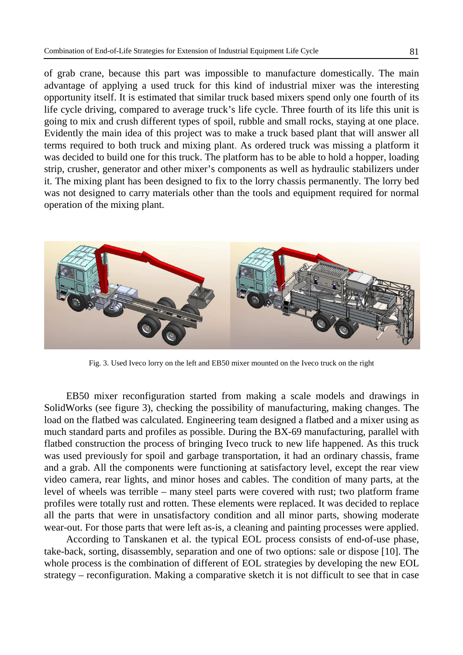of grab crane, because this part was impossible to manufacture domestically. The main advantage of applying a used truck for this kind of industrial mixer was the interesting opportunity itself. It is estimated that similar truck based mixers spend only one fourth of its life cycle driving, compared to average truck's life cycle. Three fourth of its life this unit is going to mix and crush different types of spoil, rubble and small rocks, staying at one place. Evidently the main idea of this project was to make a truck based plant that will answer all terms required to both truck and mixing plant. As ordered truck was missing a platform it was decided to build one for this truck. The platform has to be able to hold a hopper, loading strip, crusher, generator and other mixer's components as well as hydraulic stabilizers under it. The mixing plant has been designed to fix to the lorry chassis permanently. The lorry bed was not designed to carry materials other than the tools and equipment required for normal operation of the mixing plant.



Fig. 3. Used Iveco lorry on the left and EB50 mixer mounted on the Iveco truck on the right

EB50 mixer reconfiguration started from making a scale models and drawings in SolidWorks (see figure 3), checking the possibility of manufacturing, making changes. The load on the flatbed was calculated. Engineering team designed a flatbed and a mixer using as much standard parts and profiles as possible. During the BX-69 manufacturing, parallel with flatbed construction the process of bringing Iveco truck to new life happened. As this truck was used previously for spoil and garbage transportation, it had an ordinary chassis, frame and a grab. All the components were functioning at satisfactory level, except the rear view video camera, rear lights, and minor hoses and cables. The condition of many parts, at the level of wheels was terrible – many steel parts were covered with rust; two platform frame profiles were totally rust and rotten. These elements were replaced. It was decided to replace all the parts that were in unsatisfactory condition and all minor parts, showing moderate wear-out. For those parts that were left as-is, a cleaning and painting processes were applied.

According to Tanskanen et al. the typical EOL process consists of end-of-use phase, take-back, sorting, disassembly, separation and one of two options: sale or dispose [10]. The whole process is the combination of different of EOL strategies by developing the new EOL strategy – reconfiguration. Making a comparative sketch it is not difficult to see that in case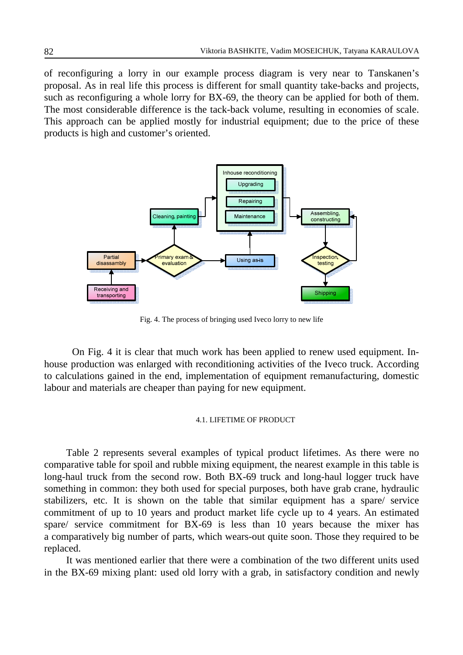of reconfiguring a lorry in our example process diagram is very near to Tanskanen's proposal. As in real life this process is different for small quantity take-backs and projects, such as reconfiguring a whole lorry for BX-69, the theory can be applied for both of them. The most considerable difference is the tack-back volume, resulting in economies of scale. This approach can be applied mostly for industrial equipment; due to the price of these products is high and customer's oriented.



Fig. 4. The process of bringing used Iveco lorry to new life

On Fig. 4 it is clear that much work has been applied to renew used equipment. Inhouse production was enlarged with reconditioning activities of the Iveco truck. According to calculations gained in the end, implementation of equipment remanufacturing, domestic labour and materials are cheaper than paying for new equipment.

#### 4.1. LIFETIME OF PRODUCT

Table 2 represents several examples of typical product lifetimes. As there were no comparative table for spoil and rubble mixing equipment, the nearest example in this table is long-haul truck from the second row. Both BX-69 truck and long-haul logger truck have something in common: they both used for special purposes, both have grab crane, hydraulic stabilizers, etc. It is shown on the table that similar equipment has a spare/ service commitment of up to 10 years and product market life cycle up to 4 years. An estimated spare/ service commitment for BX-69 is less than 10 years because the mixer has a comparatively big number of parts, which wears-out quite soon. Those they required to be replaced.

It was mentioned earlier that there were a combination of the two different units used in the BX-69 mixing plant: used old lorry with a grab, in satisfactory condition and newly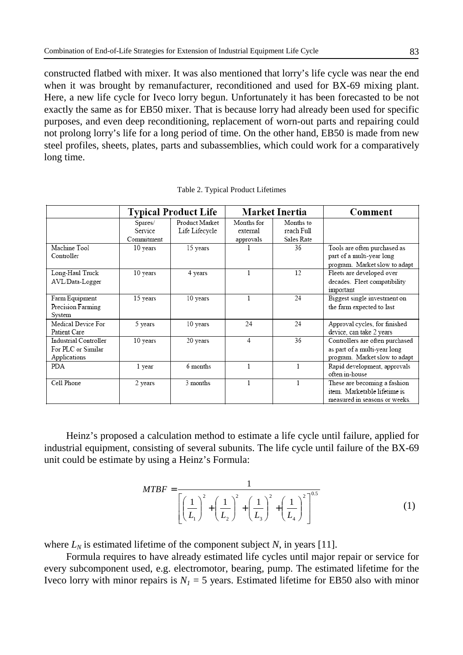constructed flatbed with mixer. It was also mentioned that lorry's life cycle was near the end when it was brought by remanufacturer, reconditioned and used for BX-69 mixing plant. Here, a new life cycle for Iveco lorry begun. Unfortunately it has been forecasted to be not exactly the same as for EB50 mixer. That is because lorry had already been used for specific purposes, and even deep reconditioning, replacement of worn-out parts and repairing could not prolong lorry's life for a long period of time. On the other hand, EB50 is made from new steel profiles, sheets, plates, parts and subassemblies, which could work for a comparatively long time.

|                                                             |                                         | <b>Typical Product Life</b>      |                                     | Market Inertia                        | Comment                                                                                          |
|-------------------------------------------------------------|-----------------------------------------|----------------------------------|-------------------------------------|---------------------------------------|--------------------------------------------------------------------------------------------------|
|                                                             | Spares/<br><b>Service</b><br>Commitment | Product Market<br>Life Lifecycle | Months for<br>external<br>approvals | Months to<br>reach Full<br>Sales Rate |                                                                                                  |
| Machine Tool<br>Controller                                  | 10 years                                | 15 years                         |                                     | 36                                    | Tools are often purchased as<br>part of a multi-year long<br>program. Market slow to adapt       |
| Long-Haul Truck<br>AVL/Data-Logger                          | 10 years                                | 4 years                          |                                     | 12                                    | Fleets are developed over<br>decades. Fleet compatibility<br>important                           |
| Farm Equipment<br>Precision Farming<br>System               | 15 years                                | 10 years                         | 1                                   | 24                                    | Biggest single investment on<br>the farm expected to last                                        |
| Medical Device For<br>Patient Care                          | 5 years                                 | 10 years                         | 24                                  | 24                                    | Approval cycles, for finished<br>device, can take 2 years                                        |
| Industrial Controller<br>For PLC or Similar<br>Applications | 10 years                                | 20 years                         | 4                                   | 36                                    | Controllers are often purchased<br>as part of a multi-year long<br>program. Market slow to adapt |
| <b>PDA</b>                                                  | 1 year                                  | 6 months                         | 1                                   |                                       | Rapid development, approvals<br>often in-house                                                   |
| Cell Phone                                                  | 2 years                                 | 3 months                         | 1                                   |                                       | These are becoming a fashion<br>item Marketable lifetime is<br>measured in seasons or weeks.     |

Table 2. Typical Product Lifetimes

Heinz's proposed a calculation method to estimate a life cycle until failure, applied for industrial equipment, consisting of several subunits. The life cycle until failure of the BX-69 unit could be estimate by using a Heinz's Formula:

$$
MTBF = \frac{1}{\left[\left(\frac{1}{L_1}\right)^2 + \left(\frac{1}{L_2}\right)^2 + \left(\frac{1}{L_3}\right)^2 + \left(\frac{1}{L_4}\right)^2\right]^{0.5}}
$$
(1)

where  $L_N$  is estimated lifetime of the component subject *N*, in years [11].

Formula requires to have already estimated life cycles until major repair or service for every subcomponent used, e.g. electromotor, bearing, pump. The estimated lifetime for the Iveco lorry with minor repairs is  $N<sub>1</sub> = 5$  years. Estimated lifetime for EB50 also with minor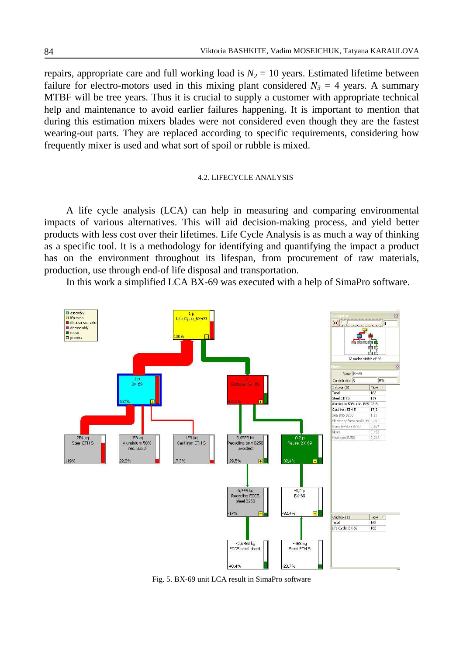repairs, appropriate care and full working load is  $N_2 = 10$  years. Estimated lifetime between failure for electro-motors used in this mixing plant considered  $N_3 = 4$  years. A summary MTBF will be tree years. Thus it is crucial to supply a customer with appropriate technical help and maintenance to avoid earlier failures happening. It is important to mention that during this estimation mixers blades were not considered even though they are the fastest wearing-out parts. They are replaced according to specific requirements, considering how frequently mixer is used and what sort of spoil or rubble is mixed.

#### 4.2. LIFECYCLE ANALYSIS

A life cycle analysis (LCA) can help in measuring and comparing environmental impacts of various alternatives. This will aid decision-making process, and yield better products with less cost over their lifetimes. Life Cycle Analysis is as much a way of thinking as a specific tool. It is a methodology for identifying and quantifying the impact a product has on the environment throughout its lifespan, from procurement of raw materials, production, use through end-of life disposal and transportation.

In this work a simplified LCA BX-69 was executed with a help of SimaPro software.



Fig. 5. BX-69 unit LCA result in SimaPro software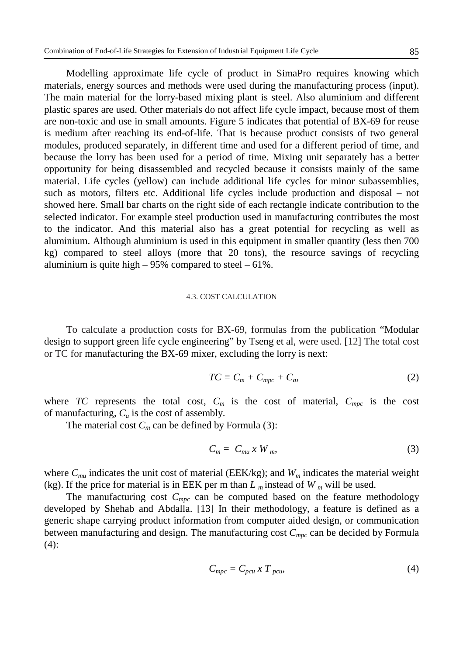Modelling approximate life cycle of product in SimaPro requires knowing which materials, energy sources and methods were used during the manufacturing process (input). The main material for the lorry-based mixing plant is steel. Also aluminium and different plastic spares are used. Other materials do not affect life cycle impact, because most of them are non-toxic and use in small amounts. Figure 5 indicates that potential of BX-69 for reuse is medium after reaching its end-of-life. That is because product consists of two general modules, produced separately, in different time and used for a different period of time, and because the lorry has been used for a period of time. Mixing unit separately has a better opportunity for being disassembled and recycled because it consists mainly of the same material. Life cycles (yellow) can include additional life cycles for minor subassemblies, such as motors, filters etc. Additional life cycles include production and disposal – not showed here. Small bar charts on the right side of each rectangle indicate contribution to the selected indicator. For example steel production used in manufacturing contributes the most to the indicator. And this material also has a great potential for recycling as well as aluminium. Although aluminium is used in this equipment in smaller quantity (less then 700 kg) compared to steel alloys (more that 20 tons), the resource savings of recycling aluminium is quite high  $-95%$  compared to steel  $-61%$ .

### 4.3. COST CALCULATION

To calculate a production costs for BX-69, formulas from the publication "Modular design to support green life cycle engineering" by Tseng et al, were used. [12] The total cost or TC for manufacturing the BX-69 mixer, excluding the lorry is next:

$$
TC = C_m + C_{mpc} + C_a, \qquad (2)
$$

where *TC* represents the total cost,  $C_m$  is the cost of material,  $C_{mpc}$  is the cost of manufacturing, *C<sup>a</sup>* is the cost of assembly.

The material cost  $C_m$  can be defined by Formula (3):

$$
C_m = C_{mu} x W_m, \tag{3}
$$

where  $C_{mu}$  indicates the unit cost of material (EEK/kg); and  $W_m$  indicates the material weight (kg). If the price for material is in EEK per m than  $L_m$  instead of  $W_m$  will be used.

The manufacturing cost  $C_{\text{mpc}}$  can be computed based on the feature methodology developed by Shehab and Abdalla. [13] In their methodology, a feature is defined as a generic shape carrying product information from computer aided design, or communication between manufacturing and design. The manufacturing cost *Cmpc* can be decided by Formula  $(4)$ :

$$
C_{mpc} = C_{pcu} \times T_{pcu} \tag{4}
$$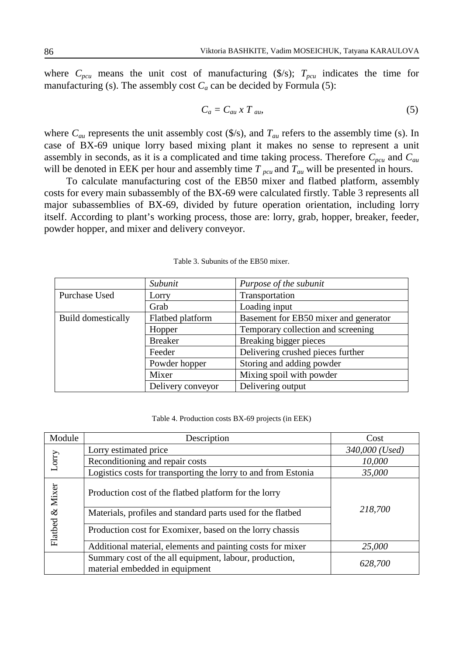where  $C_{pcu}$  means the unit cost of manufacturing (\$/s);  $T_{pcu}$  indicates the time for manufacturing (s). The assembly cost  $C_a$  can be decided by Formula (5):

$$
C_a = C_{au} \times T_{au}, \tag{5}
$$

where  $C_{au}$  represents the unit assembly cost (\$/s), and  $T_{au}$  refers to the assembly time (s). In case of BX-69 unique lorry based mixing plant it makes no sense to represent a unit assembly in seconds, as it is a complicated and time taking process. Therefore *Cpcu* and *Cau* will be denoted in EEK per hour and assembly time  $T_{\text{pca}}$  and  $T_{\text{au}}$  will be presented in hours.

To calculate manufacturing cost of the EB50 mixer and flatbed platform, assembly costs for every main subassembly of the BX-69 were calculated firstly. Table 3 represents all major subassemblies of BX-69, divided by future operation orientation, including lorry itself. According to plant's working process, those are: lorry, grab, hopper, breaker, feeder, powder hopper, and mixer and delivery conveyor.

|                           | Subunit           | Purpose of the subunit                |  |
|---------------------------|-------------------|---------------------------------------|--|
| Purchase Used             | Lorry             | Transportation                        |  |
|                           | Grab              | Loading input                         |  |
| <b>Build domestically</b> | Flatbed platform  | Basement for EB50 mixer and generator |  |
|                           | Hopper            | Temporary collection and screening    |  |
|                           | <b>Breaker</b>    | Breaking bigger pieces                |  |
|                           | Feeder            | Delivering crushed pieces further     |  |
|                           | Powder hopper     | Storing and adding powder             |  |
|                           | Mixer             | Mixing spoil with powder              |  |
|                           | Delivery conveyor | Delivering output                     |  |

Table 3. Subunits of the EB50 mixer.

Table 4. Production costs BX-69 projects (in EEK)

| Module          | Description                                                                              | Cost           |  |  |
|-----------------|------------------------------------------------------------------------------------------|----------------|--|--|
| Lorry           | Lorry estimated price                                                                    | 340,000 (Used) |  |  |
|                 | Reconditioning and repair costs                                                          | 10,000         |  |  |
|                 | Logistics costs for transporting the lorry to and from Estonia                           | 35,000         |  |  |
| Flatbed & Mixer | Production cost of the flatbed platform for the lorry                                    |                |  |  |
|                 | 218,700<br>Materials, profiles and standard parts used for the flatbed                   |                |  |  |
|                 | Production cost for Exomixer, based on the lorry chassis                                 |                |  |  |
|                 | Additional material, elements and painting costs for mixer                               | 25,000         |  |  |
|                 | Summary cost of the all equipment, labour, production,<br>material embedded in equipment | 628,700        |  |  |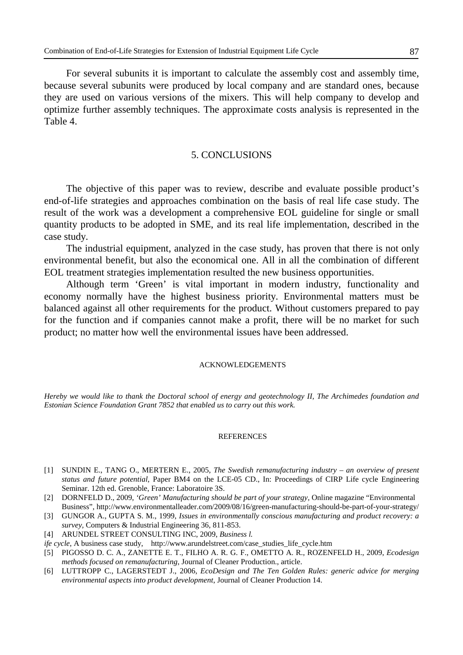For several subunits it is important to calculate the assembly cost and assembly time, because several subunits were produced by local company and are standard ones, because they are used on various versions of the mixers. This will help company to develop and optimize further assembly techniques. The approximate costs analysis is represented in the Table 4.

## 5. CONCLUSIONS

The objective of this paper was to review, describe and evaluate possible product's end-of-life strategies and approaches combination on the basis of real life case study. The result of the work was a development a comprehensive EOL guideline for single or small quantity products to be adopted in SME, and its real life implementation, described in the case study.

The industrial equipment, analyzed in the case study, has proven that there is not only environmental benefit, but also the economical one. All in all the combination of different EOL treatment strategies implementation resulted the new business opportunities.

Although term 'Green' is vital important in modern industry, functionality and economy normally have the highest business priority. Environmental matters must be balanced against all other requirements for the product. Without customers prepared to pay for the function and if companies cannot make a profit, there will be no market for such product; no matter how well the environmental issues have been addressed.

#### ACKNOWLEDGEMENTS

*Hereby we would like to thank the Doctoral school of energy and geotechnology II, The Archimedes foundation and Estonian Science Foundation Grant 7852 that enabled us to carry out this work.* 

#### REFERENCES

- [1] SUNDIN E., TANG O., MERTERN E., 2005, *The Swedish remanufacturing industry an overview of present status and future potential*, Paper BM4 on the LCE-05 CD., In: Proceedings of CIRP Life cycle Engineering Seminar. 12th ed. Grenoble, France: Laboratoire 3S.
- [2] DORNFELD D., 2009, *'Green' Manufacturing should be part of your strategy,* Online magazine "Environmental Business", http://www.environmentalleader.com/2009/08/16/green-manufacturing-should-be-part-of-your-strategy/
- [3] GUNGOR A., GUPTA S. M., 1999, *Issues in environmentally conscious manufacturing and product recovery: a survey,* Computers & Industrial Engineering 36, 811-853.
- [4] ARUNDEL STREET CONSULTING INC, 2009, *Business l.*
- *ife cycle*, A business case study, http://www.arundelstreet.com/case\_studies\_life\_cycle.htm
- [5] PIGOSSO D. C. A., ZANETTE E. T., FILHO A. R. G. F., OMETTO A. R., ROZENFELD H., 2009, *Ecodesign methods focused on remanufacturing*, Journal of Cleaner Production., article.
- [6] LUTTROPP C., LAGERSTEDT J., 2006, *EcoDesign and The Ten Golden Rules: generic advice for merging environmental aspects into product development*, Journal of Cleaner Production 14.